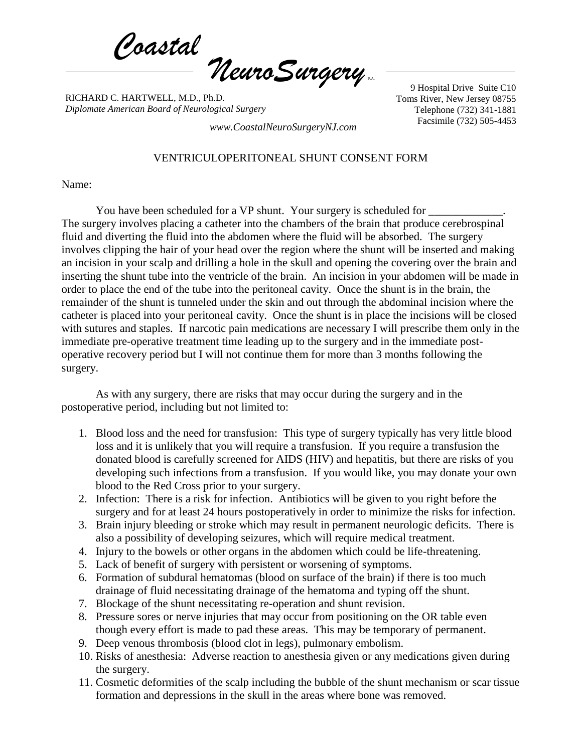*Coastal NeuroSurgery* P.A.

RICHARD C. HARTWELL, M.D., Ph.D. *Diplomate American Board of Neurological Surgery*

9 Hospital Drive Suite C10 Toms River, New Jersey 08755 Telephone (732) 341-1881

Facsimile (732) 505-4453 *www.CoastalNeuroSurgeryNJ.com*

## VENTRICULOPERITONEAL SHUNT CONSENT FORM

## Name:

You have been scheduled for a VP shunt. Your surgery is scheduled for The surgery involves placing a catheter into the chambers of the brain that produce cerebrospinal fluid and diverting the fluid into the abdomen where the fluid will be absorbed. The surgery involves clipping the hair of your head over the region where the shunt will be inserted and making an incision in your scalp and drilling a hole in the skull and opening the covering over the brain and inserting the shunt tube into the ventricle of the brain. An incision in your abdomen will be made in order to place the end of the tube into the peritoneal cavity. Once the shunt is in the brain, the remainder of the shunt is tunneled under the skin and out through the abdominal incision where the catheter is placed into your peritoneal cavity. Once the shunt is in place the incisions will be closed with sutures and staples. If narcotic pain medications are necessary I will prescribe them only in the immediate pre-operative treatment time leading up to the surgery and in the immediate postoperative recovery period but I will not continue them for more than 3 months following the surgery.

As with any surgery, there are risks that may occur during the surgery and in the postoperative period, including but not limited to:

- 1. Blood loss and the need for transfusion: This type of surgery typically has very little blood loss and it is unlikely that you will require a transfusion. If you require a transfusion the donated blood is carefully screened for AIDS (HIV) and hepatitis, but there are risks of you developing such infections from a transfusion. If you would like, you may donate your own blood to the Red Cross prior to your surgery.
- 2. Infection: There is a risk for infection. Antibiotics will be given to you right before the surgery and for at least 24 hours postoperatively in order to minimize the risks for infection.
- 3. Brain injury bleeding or stroke which may result in permanent neurologic deficits. There is also a possibility of developing seizures, which will require medical treatment.
- 4. Injury to the bowels or other organs in the abdomen which could be life-threatening.
- 5. Lack of benefit of surgery with persistent or worsening of symptoms.
- 6. Formation of subdural hematomas (blood on surface of the brain) if there is too much drainage of fluid necessitating drainage of the hematoma and typing off the shunt.
- 7. Blockage of the shunt necessitating re-operation and shunt revision.
- 8. Pressure sores or nerve injuries that may occur from positioning on the OR table even though every effort is made to pad these areas. This may be temporary of permanent.
- 9. Deep venous thrombosis (blood clot in legs), pulmonary embolism.
- 10. Risks of anesthesia: Adverse reaction to anesthesia given or any medications given during the surgery.
- 11. Cosmetic deformities of the scalp including the bubble of the shunt mechanism or scar tissue formation and depressions in the skull in the areas where bone was removed.